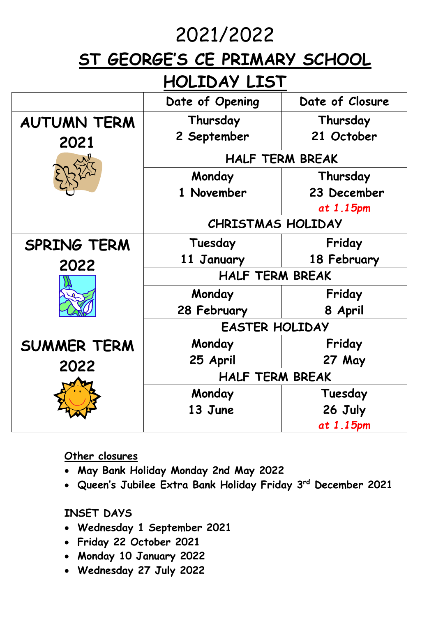## 2021/2022

## **ST GEORGE'S CE PRIMARY SCHOOL**

## **HOLIDAY LIST**

|                            | Date of Opening          | Date of Closure |  |
|----------------------------|--------------------------|-----------------|--|
| <b>AUTUMN TERM</b><br>2021 | Thursday                 | Thursday        |  |
|                            | 2 September              | 21 October      |  |
|                            | <b>HALF TERM BREAK</b>   |                 |  |
|                            | Monday                   | Thursday        |  |
|                            | 1 November               | 23 December     |  |
|                            |                          | at 1.15pm       |  |
|                            | <b>CHRISTMAS HOLIDAY</b> |                 |  |
| <b>SPRING TERM</b><br>2022 | Tuesday                  | Friday          |  |
|                            | 11 January               | 18 February     |  |
|                            | <b>HALF TERM BREAK</b>   |                 |  |
|                            | Monday                   | Friday          |  |
|                            | 28 February              | 8 April         |  |
|                            | <b>EASTER HOLIDAY</b>    |                 |  |
| <b>SUMMER TERM</b><br>2022 | Monday                   | Friday          |  |
|                            | 25 April                 | 27 May          |  |
|                            | <b>HALF TERM BREAK</b>   |                 |  |
|                            | Monday                   | Tuesday         |  |
|                            | 13 June                  | 26 July         |  |
|                            |                          | at 1.15pm       |  |

**Other closures** 

- **May Bank Holiday Monday 2nd May 2022**
- **Queen's Jubilee Extra Bank Holiday Friday 3 rd December 2021**

**INSET DAYS**

- **Wednesday 1 September 2021**
- **Friday 22 October 2021**
- **Monday 10 January 2022**
- **Wednesday 27 July 2022**